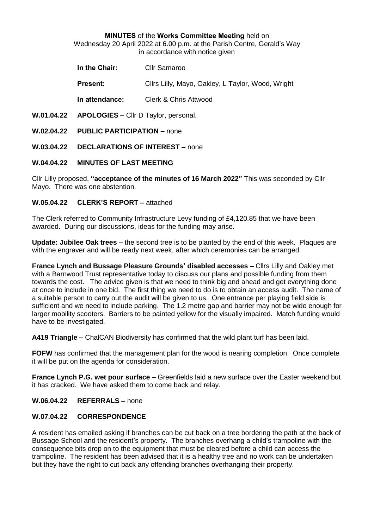#### **MINUTES** of the **Works Committee Meeting** held on

Wednesday 20 April 2022 at 6.00 p.m. at the Parish Centre, Gerald's Way in accordance with notice given

| In the Chair:  | Cllr Samaroo                                                |  |  |
|----------------|-------------------------------------------------------------|--|--|
| <b>Dockert</b> | $O$ llas Liller Marca $O$ aldare L $T$ ardare Marcal Muight |  |  |

**Present:** Cllrs Lilly, Mayo, Oakley, L Taylor, Wood, Wright

**In attendance:** Clerk & Chris Attwood

- **W.01.04.22 APOLOGIES –** Cllr D Taylor, personal.
- **W.02.04.22 PUBLIC PARTICIPATION –** none
- **W.03.04.22 DECLARATIONS OF INTEREST –** none

## **W.04.04.22 MINUTES OF LAST MEETING**

Cllr Lilly proposed, **"acceptance of the minutes of 16 March 2022"** This was seconded by Cllr Mayo. There was one abstention.

## **W.05.04.22 CLERK'S REPORT –** attached

The Clerk referred to Community Infrastructure Levy funding of £4,120.85 that we have been awarded. During our discussions, ideas for the funding may arise.

**Update: Jubilee Oak trees –** the second tree is to be planted by the end of this week. Plaques are with the engraver and will be ready next week, after which ceremonies can be arranged.

**France Lynch and Bussage Pleasure Grounds' disabled accesses –** Cllrs Lilly and Oakley met with a Barnwood Trust representative today to discuss our plans and possible funding from them towards the cost. The advice given is that we need to think big and ahead and get everything done at once to include in one bid. The first thing we need to do is to obtain an access audit. The name of a suitable person to carry out the audit will be given to us. One entrance per playing field side is sufficient and we need to include parking. The 1.2 metre gap and barrier may not be wide enough for larger mobility scooters. Barriers to be painted yellow for the visually impaired. Match funding would have to be investigated.

**A419 Triangle –** ChalCAN Biodiversity has confirmed that the wild plant turf has been laid.

**FOFW** has confirmed that the management plan for the wood is nearing completion. Once complete it will be put on the agenda for consideration.

**France Lynch P.G. wet pour surface –** Greenfields laid a new surface over the Easter weekend but it has cracked. We have asked them to come back and relay.

**W.06.04.22 REFERRALS –** none

## **W.07.04.22 CORRESPONDENCE**

A resident has emailed asking if branches can be cut back on a tree bordering the path at the back of Bussage School and the resident's property. The branches overhang a child's trampoline with the consequence bits drop on to the equipment that must be cleared before a child can access the trampoline. The resident has been advised that it is a healthy tree and no work can be undertaken but they have the right to cut back any offending branches overhanging their property.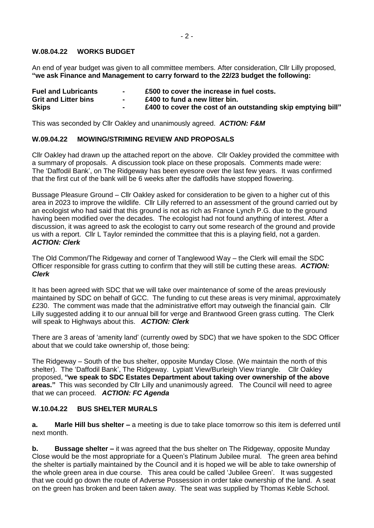## **W.08.04.22 WORKS BUDGET**

An end of year budget was given to all committee members. After consideration, Cllr Lilly proposed, **"we ask Finance and Management to carry forward to the 22/23 budget the following:**

| <b>Fuel and Lubricants</b>  |        | £500 to cover the increase in fuel costs.                    |
|-----------------------------|--------|--------------------------------------------------------------|
| <b>Grit and Litter bins</b> | $\sim$ | £400 to fund a new litter bin.                               |
| <b>Skips</b>                |        | £400 to cover the cost of an outstanding skip emptying bill" |

This was seconded by Cllr Oakley and unanimously agreed. *ACTION: F&M*

#### **W.09.04.22 MOWING/STRIMING REVIEW AND PROPOSALS**

Cllr Oakley had drawn up the attached report on the above. Cllr Oakley provided the committee with a summary of proposals. A discussion took place on these proposals. Comments made were: The 'Daffodil Bank', on The Ridgeway has been eyesore over the last few years. It was confirmed that the first cut of the bank will be 6 weeks after the daffodils have stopped flowering.

Bussage Pleasure Ground – Cllr Oakley asked for consideration to be given to a higher cut of this area in 2023 to improve the wildlife. Cllr Lilly referred to an assessment of the ground carried out by an ecologist who had said that this ground is not as rich as France Lynch P.G. due to the ground having been modified over the decades. The ecologist had not found anything of interest. After a discussion, it was agreed to ask the ecologist to carry out some research of the ground and provide us with a report. Cllr L Taylor reminded the committee that this is a playing field, not a garden. *ACTION: Clerk*

The Old Common/The Ridgeway and corner of Tanglewood Way – the Clerk will email the SDC Officer responsible for grass cutting to confirm that they will still be cutting these areas. *ACTION: Clerk*

It has been agreed with SDC that we will take over maintenance of some of the areas previously maintained by SDC on behalf of GCC. The funding to cut these areas is very minimal, approximately £230. The comment was made that the administrative effort may outweigh the financial gain. Cllr Lilly suggested adding it to our annual bill for verge and Brantwood Green grass cutting. The Clerk will speak to Highways about this. *ACTION: Clerk*

There are 3 areas of 'amenity land' (currently owed by SDC) that we have spoken to the SDC Officer about that we could take ownership of, those being:

The Ridgeway – South of the bus shelter, opposite Munday Close. (We maintain the north of this shelter). The 'Daffodil Bank', The Ridgeway. Lypiatt View/Burleigh View triangle. Cllr Oakley proposed, **"we speak to SDC Estates Department about taking over ownership of the above areas."** This was seconded by Cllr Lilly and unanimously agreed. The Council will need to agree that we can proceed. *ACTION: FC Agenda*

#### **W.10.04.22 BUS SHELTER MURALS**

**a. Marle Hill bus shelter –** a meeting is due to take place tomorrow so this item is deferred until next month.

**b. Bussage shelter –** it was agreed that the bus shelter on The Ridgeway, opposite Munday Close would be the most appropriate for a Queen's Platinum Jubilee mural. The green area behind the shelter is partially maintained by the Council and it is hoped we will be able to take ownership of the whole green area in due course. This area could be called 'Jubilee Green'. It was suggested that we could go down the route of Adverse Possession in order take ownership of the land. A seat on the green has broken and been taken away. The seat was supplied by Thomas Keble School.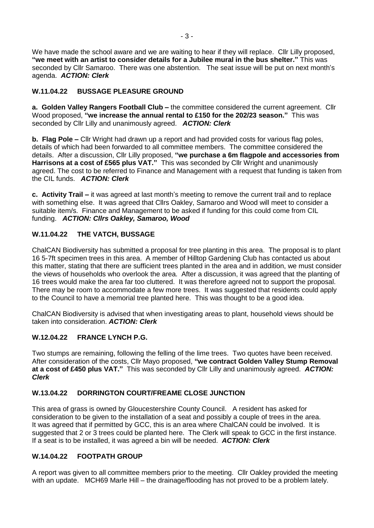We have made the school aware and we are waiting to hear if they will replace. Cllr Lilly proposed, **"we meet with an artist to consider details for a Jubilee mural in the bus shelter."** This was seconded by Cllr Samaroo. There was one abstention. The seat issue will be put on next month's agenda. *ACTION: Clerk*

# **W.11.04.22 BUSSAGE PLEASURE GROUND**

**a. Golden Valley Rangers Football Club –** the committee considered the current agreement. Cllr Wood proposed, **"we increase the annual rental to £150 for the 202/23 season."** This was seconded by Cllr Lilly and unanimously agreed. *ACTION: Clerk*

**b. Flag Pole –** Cllr Wright had drawn up a report and had provided costs for various flag poles, details of which had been forwarded to all committee members. The committee considered the details. After a discussion, Cllr Lilly proposed, **"we purchase a 6m flagpole and accessories from Harrisons at a cost of £565 plus VAT."** This was seconded by Cllr Wright and unanimously agreed. The cost to be referred to Finance and Management with a request that funding is taken from the CIL funds. *ACTION: Clerk*

**c. Activity Trail –** it was agreed at last month's meeting to remove the current trail and to replace with something else. It was agreed that Cllrs Oakley, Samaroo and Wood will meet to consider a suitable item/s. Finance and Management to be asked if funding for this could come from CIL funding. *ACTION: Cllrs Oakley, Samaroo, Wood*

# **W.11.04.22 THE VATCH, BUSSAGE**

ChalCAN Biodiversity has submitted a proposal for tree planting in this area. The proposal is to plant 16 5-7ft specimen trees in this area. A member of Hilltop Gardening Club has contacted us about this matter, stating that there are sufficient trees planted in the area and in addition, we must consider the views of households who overlook the area. After a discussion, it was agreed that the planting of 16 trees would make the area far too cluttered. It was therefore agreed not to support the proposal. There may be room to accommodate a few more trees. It was suggested that residents could apply to the Council to have a memorial tree planted here. This was thought to be a good idea.

ChalCAN Biodiversity is advised that when investigating areas to plant, household views should be taken into consideration. *ACTION: Clerk*

## **W.12.04.22 FRANCE LYNCH P.G.**

Two stumps are remaining, following the felling of the lime trees. Two quotes have been received. After consideration of the costs, Cllr Mayo proposed, **"we contract Golden Valley Stump Removal at a cost of £450 plus VAT."** This was seconded by Cllr Lilly and unanimously agreed. *ACTION: Clerk*

## **W.13.04.22 DORRINGTON COURT/FREAME CLOSE JUNCTION**

This area of grass is owned by Gloucestershire County Council. A resident has asked for consideration to be given to the installation of a seat and possibly a couple of trees in the area. It was agreed that if permitted by GCC, this is an area where ChalCAN could be involved. It is suggested that 2 or 3 trees could be planted here. The Clerk will speak to GCC in the first instance. If a seat is to be installed, it was agreed a bin will be needed. *ACTION: Clerk*

## **W.14.04.22 FOOTPATH GROUP**

A report was given to all committee members prior to the meeting. Cllr Oakley provided the meeting with an update. MCH69 Marle Hill – the drainage/flooding has not proved to be a problem lately.